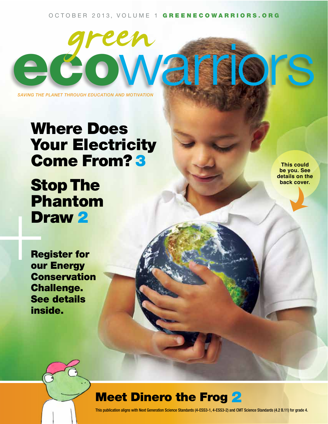#### OCTOBER 2013, VOLUME 1 GREENECOWARRIORS.ORG

e cowarriors

*Saving the planet through education and motivation*

## Where Does **Your Electricity** Come From? 3

# Stop The Phantom Draw 2 PI<br>BI<br>Resserved<br>Biography<br>Construction

**This could be you. See details on the back cover.**

Register for our Energy Conservation Challenge. See details inside.

### **Meet Dinero the Frog 2**

This publication aligns with Next Generation Science Standards (4-ESS3-1, 4-ESS3-2) and CMT Science Standards (4.2 B.11) for grade 4.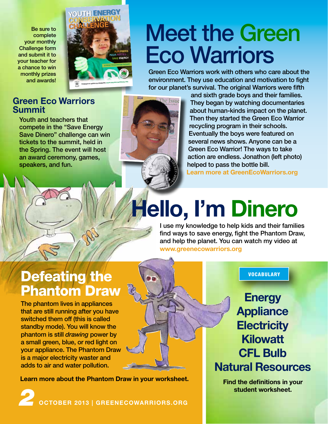Be sure to complete your monthly Challenge form and submit it to your teacher for a chance to win monthly prizes and awards!



## Meet the Green **Eco Warriors**

Green Eco Warriors work with others who care about the environment. They use education and motivation to fight for our planet's survival. The original Warriors were fifth

### **Green Eco Warriors Summit**

Youth and teachers that compete in the "Save Energy Save Dinero" challenge can win tickets to the summit, held in the Spring. The event will host an award ceremony, games, speakers, and fun.



and sixth grade boys and their families. They began by watching documentaries about human-kinds impact on the planet. Then they started the Green Eco Warrior recycling program in their schools. Eventually the boys were featured on several news shows. Anyone can be a Green Eco Warrior! The ways to take action are endless. Jonathon (left photo) helped to pass the bottle bill.

**Learn more at GreenEcoWarriors.org**

# **Hello, I'm Dinero**

I use my knowledge to help kids and their families find ways to save energy, fight the Phantom Draw, and help the planet. You can watch my video at **www.greenecowarriors.org**

## Defeating the Phantom Draw

The phantom lives in appliances that are still running after you have switched them off (this is called standby mode). You will know the phantom is still *drawing* power by a small green, blue, or red light on your appliance. The Phantom Draw is a major electricity waster and adds to air and water pollution.

**Learn more about the Phantom Draw in your worksheet.**

*2* **october 2013 | GREENECOWARRIORS.org**

VOCABULARY

**Energy Appliance Electricity Kilowatt CFL Bulb Natural Resources**

**Find the definitions in your student worksheet.**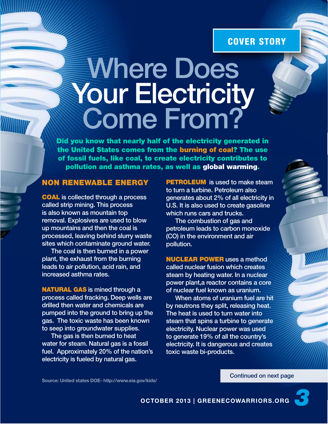### COVER STORY

# **Where Does** Your Electricity Come From?

Did you know that nearly half of the electricity generated in the United States comes from the burning of coal? The use of fossil fuels, like coal, to create electricity contributes to pollution and asthma rates, as well as global warming.

### Non Renewable energy

**COAL** is collected through a process called strip mining. This process is also known as mountain top removal. Explosives are used to blow up mountains and then the coal is processed, leaving behind slurry waste sites which contaminate ground water.

The coal is then burned in a power plant, the exhaust from the burning leads to air pollution, acid rain, and increased asthma rates.

**NATURAL GAS** is mined through a process called fracking. Deep wells are drilled then water and chemicals are pumped into the ground to bring up the gas. The toxic waste has been known to seep into groundwater supplies.

The gas is then burned to heat water for steam. Natural gas is a fossil fuel. Approximately 20% of the nation's electricity is fueled by natural gas.

**PETROLEUM** is used to make steam to turn a turbine. Petroleum also generates about 2% of all electricity in U.S. It is also used to create gasoline which runs cars and trucks.

The combustion of gas and petroleum leads to carbon monoxide (CO) in the environment and air pollution.

**NUCLEAR POWER** uses a method called nuclear fusion which creates steam by heating water. In a nuclear power plant,a reactor contains a core of nuclear fuel known as uranium.

When atoms of uranium fuel are hit by neutrons they split, releasing heat. The heat is used to turn water into steam that spins a turbine to generate electricity. Nuclear power was used to generate 19% of all the country's electricity. It is dangerous and creates toxic waste bi-products.

**Source: United states DOE- http://www.eia.gov/kids/**

Continued on next page